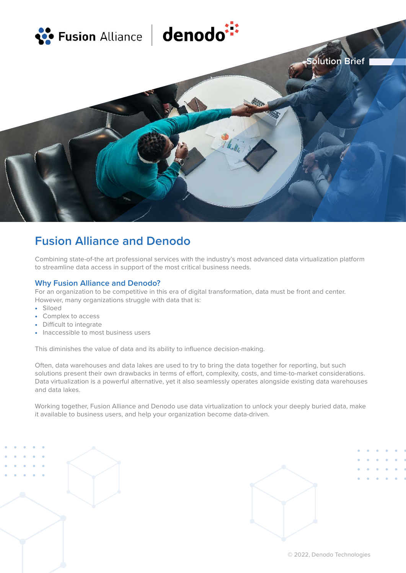

# **Fusion Alliance and Denodo**

Combining state-of-the art professional services with the industry's most advanced data virtualization platform to streamline data access in support of the most critical business needs.

# **Why Fusion Alliance and Denodo?**

For an organization to be competitive in this era of digital transformation, data must be front and center. However, many organizations struggle with data that is:

- Siloed
- Complex to access
- Difficult to integrate
- Inaccessible to most business users

This diminishes the value of data and its ability to influence decision-making.

Often, data warehouses and data lakes are used to try to bring the data together for reporting, but such solutions present their own drawbacks in terms of effort, complexity, costs, and time-to-market considerations. Data virtualization is a powerful alternative, yet it also seamlessly operates alongside existing data warehouses and data lakes.

Working together, Fusion Alliance and Denodo use data virtualization to unlock your deeply buried data, make it available to business users, and help your organization become data-driven.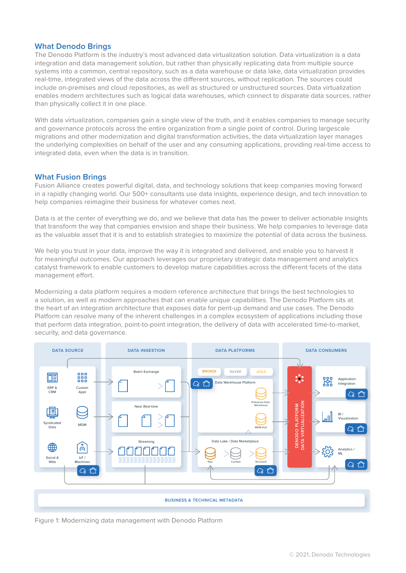## **What Denodo Brings**

The Denodo Platform is the industry's most advanced data virtualization solution. Data virtualization is a data integration and data management solution, but rather than physically replicating data from multiple source systems into a common, central repository, such as a data warehouse or data lake, data virtualization provides real-time, integrated views of the data across the different sources, without replication. The sources could include on-premises and cloud repositories, as well as structured or unstructured sources. Data virtualization enables modern architectures such as logical data warehouses, which connect to disparate data sources, rather than physically collect it in one place.

With data virtualization, companies gain a single view of the truth, and it enables companies to manage security and governance protocols across the entire organization from a single point of control. During largescale migrations and other modernization and digital transformation activities, the data virtualization layer manages the underlying complexities on behalf of the user and any consuming applications, providing real-time access to integrated data, even when the data is in transition.

### **What Fusion Brings**

Fusion Alliance creates powerful digital, data, and technology solutions that keep companies moving forward in a rapidly changing world. Our 500+ consultants use data insights, experience design, and tech innovation to help companies reimagine their business for whatever comes next.

Data is at the center of everything we do, and we believe that data has the power to deliver actionable insights that transform the way that companies envision and shape their business. We help companies to leverage data as the valuable asset that it is and to establish strategies to maximize the potential of data across the business.

We help you trust in your data, improve the way it is integrated and delivered, and enable you to harvest it for meaningful outcomes. Our approach leverages our proprietary strategic data management and analytics catalyst framework to enable customers to develop mature capabilities across the different facets of the data management effort.

Modernizing a data platform requires a modern reference architecture that brings the best technologies to a solution, as well as modern approaches that can enable unique capabilities. The Denodo Platform sits at the heart of an integration architecture that exposes data for pent-up demand and use cases. The Denodo Platform can resolve many of the inherent challenges in a complex ecosystem of applications including those that perform data integration, point-to-point integration, the delivery of data with accelerated time-to-market, security, and data governance.



Figure 1: Modernizing data management with Denodo Platform